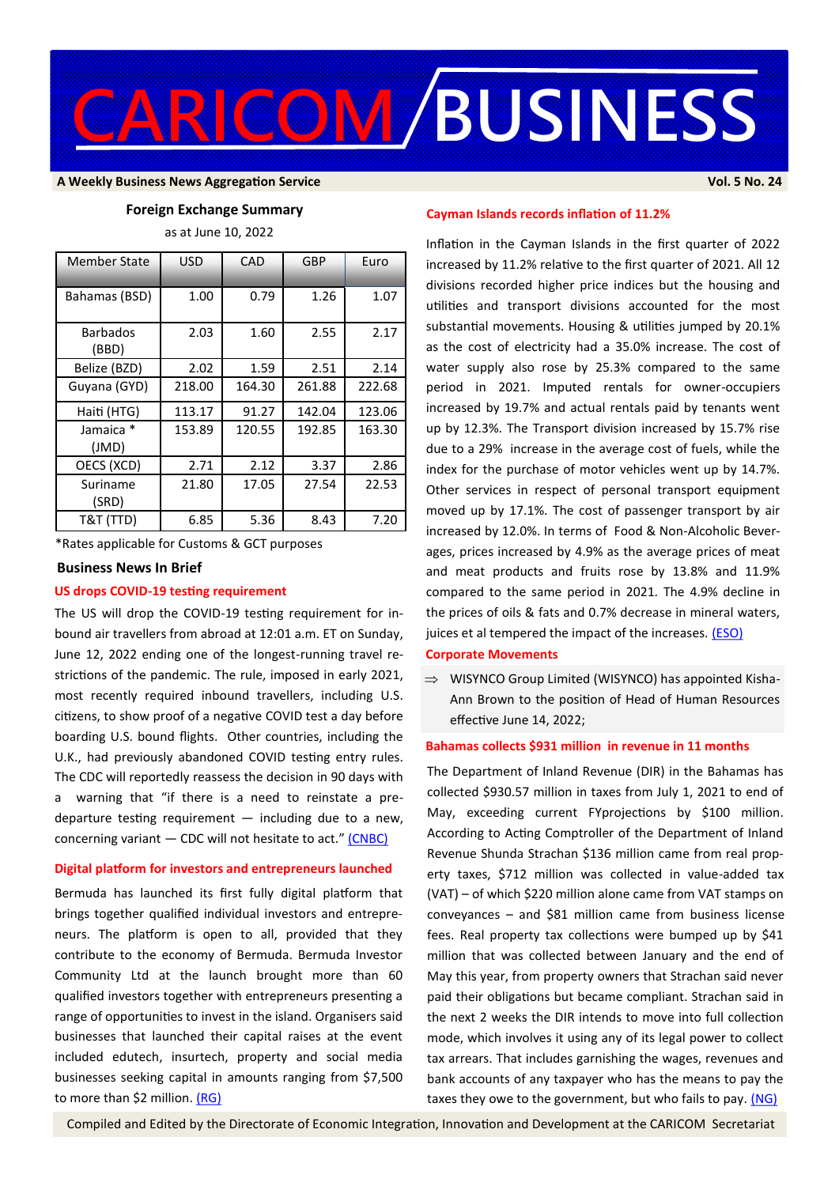

#### **A Weekly Business News Aggregation Service Vol. 5 No. 24**

#### **Foreign Exchange Summary**

as at June 10, 2022

| <b>Member State</b>      | <b>USD</b> | CAD    | GBP    | Euro   |
|--------------------------|------------|--------|--------|--------|
| Bahamas (BSD)            | 1.00       | 0.79   | 1.26   | 1.07   |
| <b>Barbados</b><br>(BBD) | 2.03       | 1.60   | 2.55   | 2.17   |
| Belize (BZD)             | 2.02       | 1.59   | 2.51   | 2.14   |
| Guyana (GYD)             | 218.00     | 164.30 | 261.88 | 222.68 |
| Haiti (HTG)              | 113.17     | 91.27  | 142.04 | 123.06 |
| Jamaica *<br>(JMD)       | 153.89     | 120.55 | 192.85 | 163.30 |
| OECS (XCD)               | 2.71       | 2.12   | 3.37   | 2.86   |
| Suriname<br>(SRD)        | 21.80      | 17.05  | 27.54  | 22.53  |
| T&T (TTD)                | 6.85       | 5.36   | 8.43   | 7.20   |

\*Rates applicable for Customs & GCT purposes

#### **Business News In Brief**

### **US drops COVID-19 testing requirement**

The US will drop the COVID-19 testing requirement for inbound air travellers from abroad at 12:01 a.m. ET on Sunday, June 12, 2022 ending one of the longest-running travel restrictions of the pandemic. The rule, imposed in early 2021, most recently required inbound travellers, including U.S. citizens, to show proof of a negative COVID test a day before boarding U.S. bound flights. Other countries, including the U.K., had previously abandoned COVID testing entry rules. The CDC will reportedly reassess the decision in 90 days with a warning that "if there is a need to reinstate a predeparture testing requirement  $-$  including due to a new, concerning variant  $-$  CDC will not hesitate to act."  $[CNBC]$ 

## **Digital platform for investors and entrepreneurs launched**

Bermuda has launched its first fully digital platform that brings together qualified individual investors and entrepreneurs. The platform is open to all, provided that they contribute to the economy of Bermuda. Bermuda Investor Community Ltd at the launch brought more than 60 qualified investors together with entrepreneurs presenting a range of opportunities to invest in the island. Organisers said businesses that launched their capital raises at the event included edutech, insurtech, property and social media businesses seeking capital in amounts ranging from \$7,500 to more than \$2 million. [\(RG\)](https://www.royalgazette.com/local-business/business/article/20220610/investors-unite-on-digital-platform/)

# **Cayman Islands records inflation of 11.2%**

Inflation in the Cayman Islands in the first quarter of 2022 increased by 11.2% relative to the first quarter of 2021. All 12 divisions recorded higher price indices but the housing and utilities and transport divisions accounted for the most substantial movements. Housing & utilities jumped by 20.1% as the cost of electricity had a 35.0% increase. The cost of water supply also rose by 25.3% compared to the same period in 2021. Imputed rentals for owner-occupiers increased by 19.7% and actual rentals paid by tenants went up by 12.3%. The Transport division increased by 15.7% rise due to a 29% increase in the average cost of fuels, while the index for the purchase of motor vehicles went up by 14.7%. Other services in respect of personal transport equipment moved up by 17.1%. The cost of passenger transport by air increased by 12.0%. In terms of Food & Non-Alcoholic Beverages, prices increased by 4.9% as the average prices of meat and meat products and fruits rose by 13.8% and 11.9% compared to the same period in 2021. The 4.9% decline in the prices of oils & fats and 0.7% decrease in mineral waters, juices et al tempered the impact of the increases. (**ESO**)

#### **Corporate Movements**

 $\implies$  WISYNCO Group Limited (WISYNCO) has appointed Kisha-Ann Brown to the position of Head of Human Resources effective June 14, 2022;

# **Bahamas collects \$931 million in revenue in 11 months**

The Department of Inland Revenue (DIR) in the Bahamas has collected \$930.57 million in taxes from July 1, 2021 to end of May, exceeding current FYprojections by \$100 million. According to Acting Comptroller of the Department of Inland Revenue Shunda Strachan \$136 million came from real property taxes, \$712 million was collected in value-added tax (VAT) – of which \$220 million alone came from VAT stamps on conveyances – and \$81 million came from business license fees. Real property tax collections were bumped up by \$41 million that was collected between January and the end of May this year, from property owners that Strachan said never paid their obligations but became compliant. Strachan said in the next 2 weeks the DIR intends to move into full collection mode, which involves it using any of its legal power to collect tax arrears. That includes garnishing the wages, revenues and bank accounts of any taxpayer who has the means to pay the taxes they owe to the government, but who fails to pay. [\(NG\)](https://thenassauguardian.com/dir-collects-41-mil-in-real-property-tax-arrears/)

Compiled and Edited by the Directorate of Economic Integration, Innovation and Development at the CARICOM Secretariat